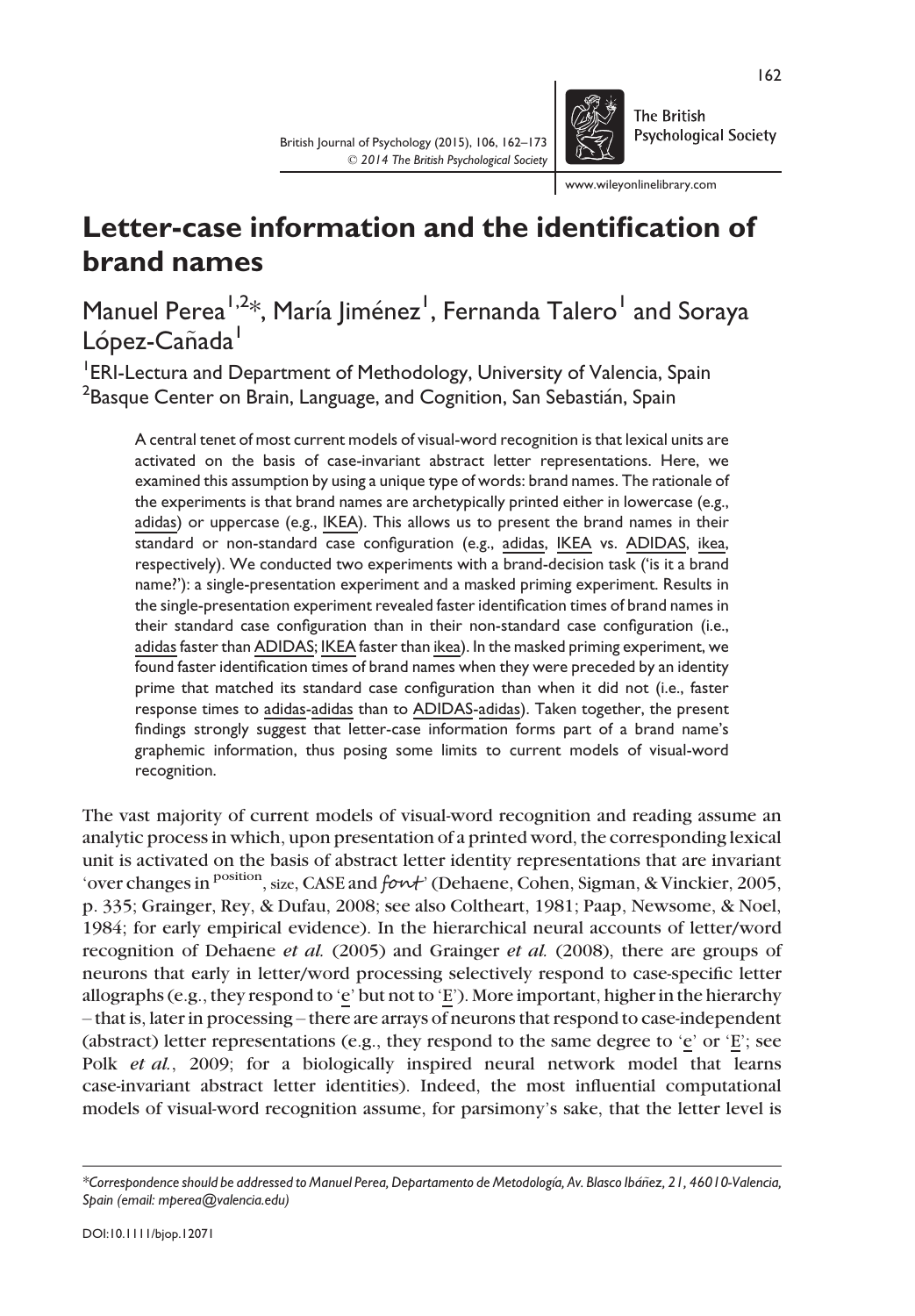

**The British Psychological Society** 

www.wileyonlinelibrary.com

# Letter-case information and the identification of brand names

Manuel Perea<sup>1,2</sup>\*, María Jiménez<sup>1</sup>, Fernanda Talero<sup>1</sup> and Soraya López-Cañada<sup>1</sup>

1 ERI-Lectura and Department of Methodology, University of Valencia, Spain  $^2$ Basque Center on Brain, Language, and Cognition, San Sebastián, Spain

A central tenet of most current models of visual-word recognition is that lexical units are activated on the basis of case-invariant abstract letter representations. Here, we examined this assumption by using a unique type of words: brand names. The rationale of the experiments is that brand names are archetypically printed either in lowercase (e.g., adidas) or uppercase (e.g., IKEA). This allows us to present the brand names in their standard or non-standard case configuration (e.g., adidas, IKEA vs. ADIDAS, ikea, respectively). We conducted two experiments with a brand-decision task ('is it a brand name?'): a single-presentation experiment and a masked priming experiment. Results in the single-presentation experiment revealed faster identification times of brand names in their standard case configuration than in their non-standard case configuration (i.e., adidas faster than ADIDAS; IKEA faster than ikea). In the masked priming experiment, we found faster identification times of brand names when they were preceded by an identity prime that matched its standard case configuration than when it did not (i.e., faster response times to adidas-adidas than to ADIDAS-adidas). Taken together, the present findings strongly suggest that letter-case information forms part of a brand name's graphemic information, thus posing some limits to current models of visual-word recognition.

The vast majority of current models of visual-word recognition and reading assume an analytic process in which, upon presentation of a printed word, the corresponding lexical unit is activated on the basis of abstract letter identity representations that are invariant 'over changes in <sup>position</sup>, size, CASE and  $fovt'$  (Dehaene, Cohen, Sigman, & Vinckier, 2005, p. 335; Grainger, Rey, & Dufau, 2008; see also Coltheart, 1981; Paap, Newsome, & Noel, 1984; for early empirical evidence). In the hierarchical neural accounts of letter/word recognition of Dehaene et al. (2005) and Grainger et al. (2008), there are groups of neurons that early in letter/word processing selectively respond to case-specific letter allographs (e.g., they respond to 'e' but not to 'E'). More important, higher in the hierarchy – that is, later in processing – there are arrays of neurons that respond to case-independent (abstract) letter representations (e.g., they respond to the same degree to 'e' or 'E'; see Polk et al., 2009; for a biologically inspired neural network model that learns case-invariant abstract letter identities). Indeed, the most influential computational models of visual-word recognition assume, for parsimony's sake, that the letter level is

<sup>\*</sup>Correspondence should be addressed to Manuel Perea, Departamento de Metodologıa, Av. Blasco Iba~nez, 21, 46010-Valencia, Spain (email: mperea@valencia.edu)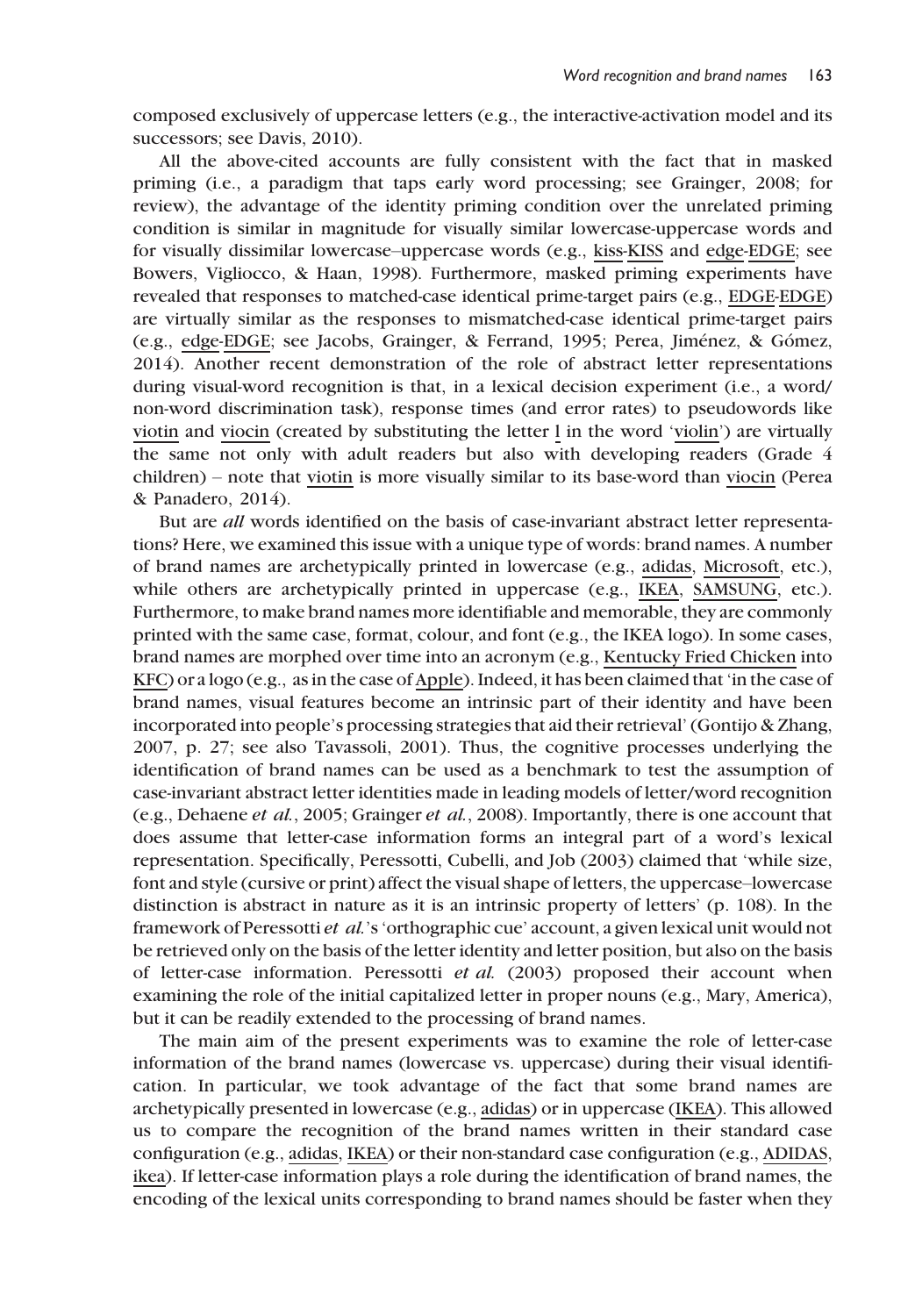composed exclusively of uppercase letters (e.g., the interactive-activation model and its successors; see Davis, 2010).

All the above-cited accounts are fully consistent with the fact that in masked priming (i.e., a paradigm that taps early word processing; see Grainger, 2008; for review), the advantage of the identity priming condition over the unrelated priming condition is similar in magnitude for visually similar lowercase-uppercase words and for visually dissimilar lowercase–uppercase words (e.g., kiss-KISS and edge-EDGE; see Bowers, Vigliocco, & Haan, 1998). Furthermore, masked priming experiments have revealed that responses to matched-case identical prime-target pairs (e.g., EDGE-EDGE) are virtually similar as the responses to mismatched-case identical prime-target pairs (e.g., edge-EDGE; see Jacobs, Grainger, & Ferrand, 1995; Perea, Jiménez, & Gómez, 2014). Another recent demonstration of the role of abstract letter representations during visual-word recognition is that, in a lexical decision experiment (i.e., a word/ non-word discrimination task), response times (and error rates) to pseudowords like viotin and viocin (created by substituting the letter l in the word 'violin') are virtually the same not only with adult readers but also with developing readers (Grade 4 children) – note that viotin is more visually similar to its base-word than viocin (Perea & Panadero, 2014).

But are all words identified on the basis of case-invariant abstract letter representations? Here, we examined this issue with a unique type of words: brand names. A number of brand names are archetypically printed in lowercase (e.g., adidas, Microsoft, etc.), while others are archetypically printed in uppercase (e.g., IKEA, SAMSUNG, etc.). Furthermore, to make brand names more identifiable and memorable, they are commonly printed with the same case, format, colour, and font (e.g., the IKEA logo). In some cases, brand names are morphed over time into an acronym (e.g., Kentucky Fried Chicken into KFC) or a logo (e.g., as in the case of Apple). Indeed, it has been claimed that 'in the case of brand names, visual features become an intrinsic part of their identity and have been incorporated into people's processing strategies that aid their retrieval' (Gontijo & Zhang, 2007, p. 27; see also Tavassoli, 2001). Thus, the cognitive processes underlying the identification of brand names can be used as a benchmark to test the assumption of case-invariant abstract letter identities made in leading models of letter/word recognition (e.g., Dehaene et al., 2005; Grainger et al., 2008). Importantly, there is one account that does assume that letter-case information forms an integral part of a word's lexical representation. Specifically, Peressotti, Cubelli, and Job (2003) claimed that 'while size, font and style (cursive or print) affect the visual shape of letters, the uppercase–lowercase distinction is abstract in nature as it is an intrinsic property of letters' (p. 108). In the framework of Peressotti et al.'s 'orthographic cue' account, a given lexical unit would not be retrieved only on the basis of the letter identity and letter position, but also on the basis of letter-case information. Peressotti et al. (2003) proposed their account when examining the role of the initial capitalized letter in proper nouns (e.g., Mary, America), but it can be readily extended to the processing of brand names.

The main aim of the present experiments was to examine the role of letter-case information of the brand names (lowercase vs. uppercase) during their visual identification. In particular, we took advantage of the fact that some brand names are archetypically presented in lowercase (e.g., adidas) or in uppercase (IKEA). This allowed us to compare the recognition of the brand names written in their standard case configuration (e.g., adidas, IKEA) or their non-standard case configuration (e.g., ADIDAS, ikea). If letter-case information plays a role during the identification of brand names, the encoding of the lexical units corresponding to brand names should be faster when they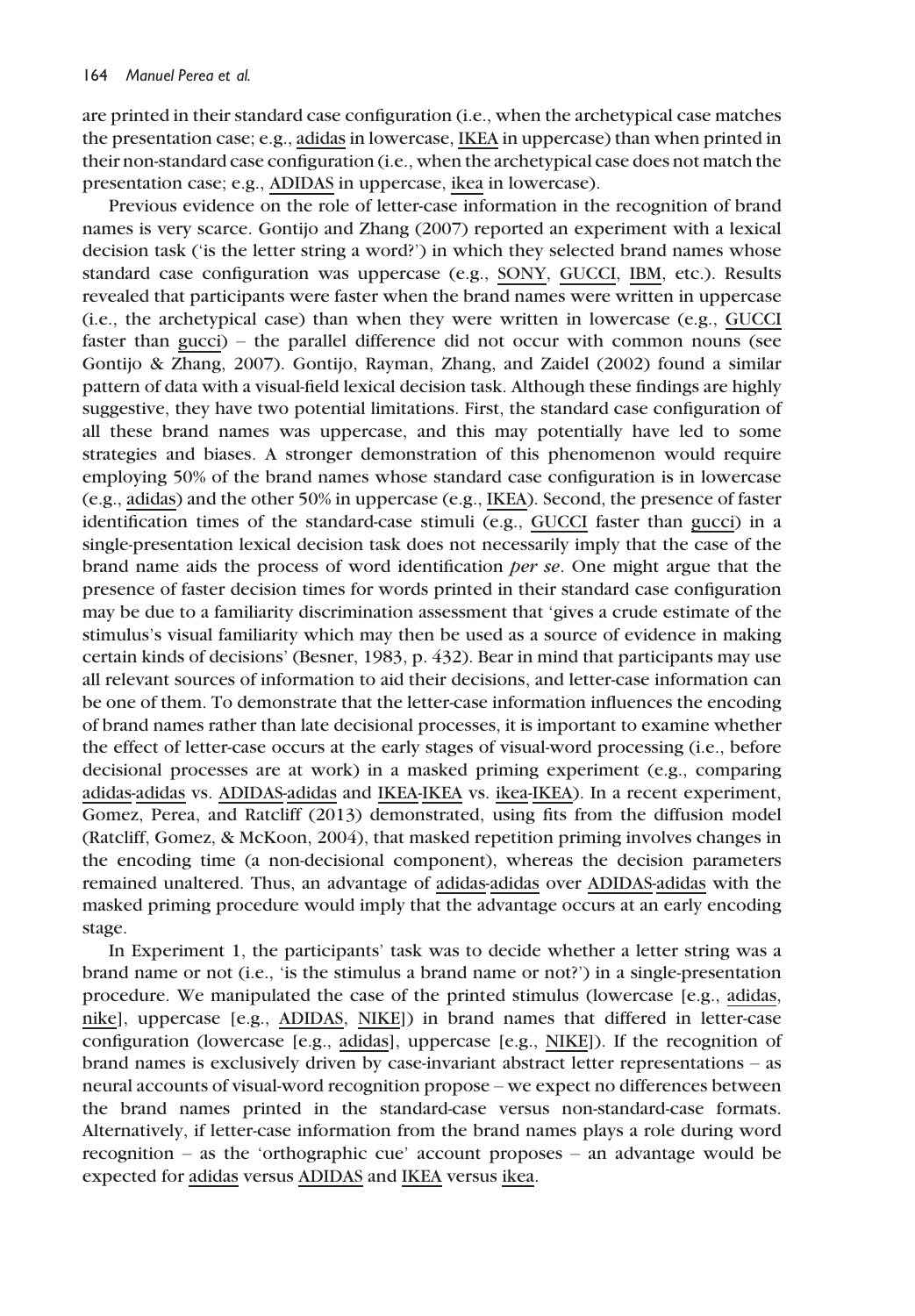are printed in their standard case configuration (i.e., when the archetypical case matches the presentation case; e.g., adidas in lowercase, IKEA in uppercase) than when printed in their non-standard case configuration (i.e., when the archetypical case does not match the presentation case; e.g., ADIDAS in uppercase, ikea in lowercase).

Previous evidence on the role of letter-case information in the recognition of brand names is very scarce. Gontijo and Zhang (2007) reported an experiment with a lexical decision task ('is the letter string a word?') in which they selected brand names whose standard case configuration was uppercase (e.g., SONY, GUCCI, IBM, etc.). Results revealed that participants were faster when the brand names were written in uppercase (i.e., the archetypical case) than when they were written in lowercase (e.g., GUCCI faster than gucci) – the parallel difference did not occur with common nouns (see Gontijo & Zhang, 2007). Gontijo, Rayman, Zhang, and Zaidel (2002) found a similar pattern of data with a visual-field lexical decision task. Although these findings are highly suggestive, they have two potential limitations. First, the standard case configuration of all these brand names was uppercase, and this may potentially have led to some strategies and biases. A stronger demonstration of this phenomenon would require employing 50% of the brand names whose standard case configuration is in lowercase (e.g., adidas) and the other 50% in uppercase (e.g., IKEA). Second, the presence of faster identification times of the standard-case stimuli (e.g., GUCCI faster than gucci) in a single-presentation lexical decision task does not necessarily imply that the case of the brand name aids the process of word identification per se. One might argue that the presence of faster decision times for words printed in their standard case configuration may be due to a familiarity discrimination assessment that 'gives a crude estimate of the stimulus's visual familiarity which may then be used as a source of evidence in making certain kinds of decisions' (Besner, 1983, p. 432). Bear in mind that participants may use all relevant sources of information to aid their decisions, and letter-case information can be one of them. To demonstrate that the letter-case information influences the encoding of brand names rather than late decisional processes, it is important to examine whether the effect of letter-case occurs at the early stages of visual-word processing (i.e., before decisional processes are at work) in a masked priming experiment (e.g., comparing adidas-adidas vs. ADIDAS-adidas and IKEA-IKEA vs. ikea-IKEA). In a recent experiment, Gomez, Perea, and Ratcliff (2013) demonstrated, using fits from the diffusion model (Ratcliff, Gomez, & McKoon, 2004), that masked repetition priming involves changes in the encoding time (a non-decisional component), whereas the decision parameters remained unaltered. Thus, an advantage of adidas-adidas over ADIDAS-adidas with the masked priming procedure would imply that the advantage occurs at an early encoding stage.

In Experiment 1, the participants' task was to decide whether a letter string was a brand name or not (i.e., 'is the stimulus a brand name or not?') in a single-presentation procedure. We manipulated the case of the printed stimulus (lowercase [e.g., adidas, nike], uppercase [e.g., ADIDAS, NIKE]) in brand names that differed in letter-case configuration (lowercase [e.g., adidas], uppercase [e.g., NIKE]). If the recognition of brand names is exclusively driven by case-invariant abstract letter representations – as neural accounts of visual-word recognition propose – we expect no differences between the brand names printed in the standard-case versus non-standard-case formats. Alternatively, if letter-case information from the brand names plays a role during word recognition – as the 'orthographic cue' account proposes – an advantage would be expected for adidas versus ADIDAS and IKEA versus ikea.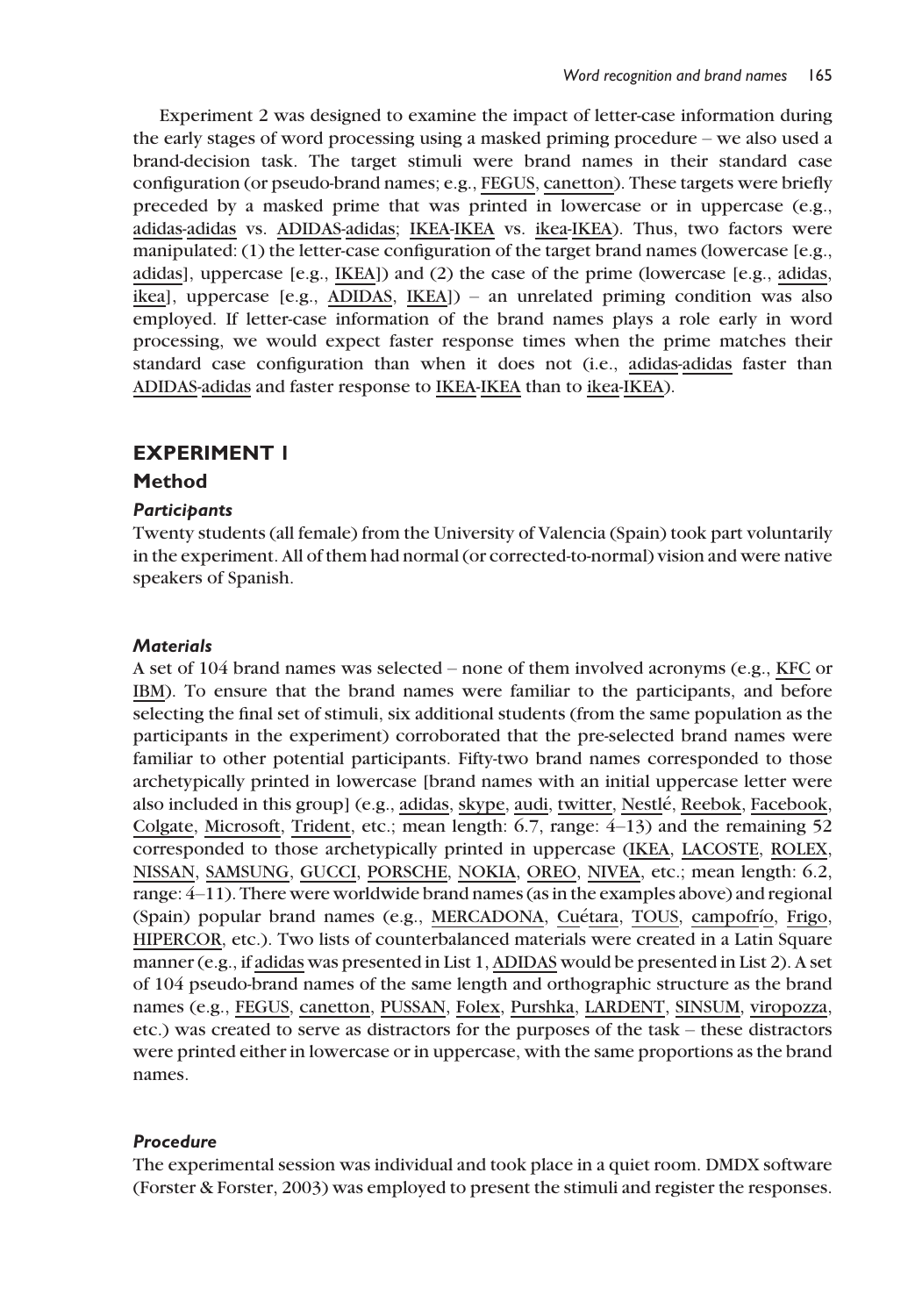Experiment 2 was designed to examine the impact of letter-case information during the early stages of word processing using a masked priming procedure – we also used a brand-decision task. The target stimuli were brand names in their standard case configuration (or pseudo-brand names; e.g., FEGUS, canetton). These targets were briefly preceded by a masked prime that was printed in lowercase or in uppercase (e.g., adidas-adidas vs. ADIDAS-adidas; IKEA-IKEA vs. ikea-IKEA). Thus, two factors were manipulated: (1) the letter-case configuration of the target brand names (lowercase [e.g., adidas], uppercase [e.g., IKEA]) and (2) the case of the prime (lowercase [e.g., adidas, ikea], uppercase [e.g., ADIDAS, IKEA]) – an unrelated priming condition was also employed. If letter-case information of the brand names plays a role early in word processing, we would expect faster response times when the prime matches their standard case configuration than when it does not (i.e., adidas-adidas faster than ADIDAS-adidas and faster response to IKEA-IKEA than to ikea-IKEA).

#### EXPERIMENT 1

#### Method

#### **Participants**

Twenty students (all female) from the University of Valencia (Spain) took part voluntarily in the experiment. All of them had normal (or corrected-to-normal) vision and were native speakers of Spanish.

#### **Materials**

A set of 104 brand names was selected – none of them involved acronyms (e.g., KFC or IBM). To ensure that the brand names were familiar to the participants, and before selecting the final set of stimuli, six additional students (from the same population as the participants in the experiment) corroborated that the pre-selected brand names were familiar to other potential participants. Fifty-two brand names corresponded to those archetypically printed in lowercase [brand names with an initial uppercase letter were also included in this group] (e.g., adidas, skype, audi, twitter, Nestle, Reebok, Facebook, Colgate, Microsoft, Trident, etc.; mean length: 6.7, range: 4–13) and the remaining 52 corresponded to those archetypically printed in uppercase (IKEA, LACOSTE, ROLEX, NISSAN, SAMSUNG, GUCCI, PORSCHE, NOKIA, OREO, NIVEA, etc.; mean length: 6.2, range: 4–11). There were worldwide brand names (as in the examples above) and regional (Spain) popular brand names (e.g., MERCADONA, Cuetara, TOUS, campofrıo, Frigo, HIPERCOR, etc.). Two lists of counterbalanced materials were created in a Latin Square manner (e.g., if adidas was presented in List 1, ADIDAS would be presented in List 2). A set of 104 pseudo-brand names of the same length and orthographic structure as the brand names (e.g., FEGUS, canetton, PUSSAN, Folex, Purshka, LARDENT, SINSUM, viropozza, etc.) was created to serve as distractors for the purposes of the task – these distractors were printed either in lowercase or in uppercase, with the same proportions as the brand names.

#### Procedure

The experimental session was individual and took place in a quiet room. DMDX software (Forster & Forster, 2003) was employed to present the stimuli and register the responses.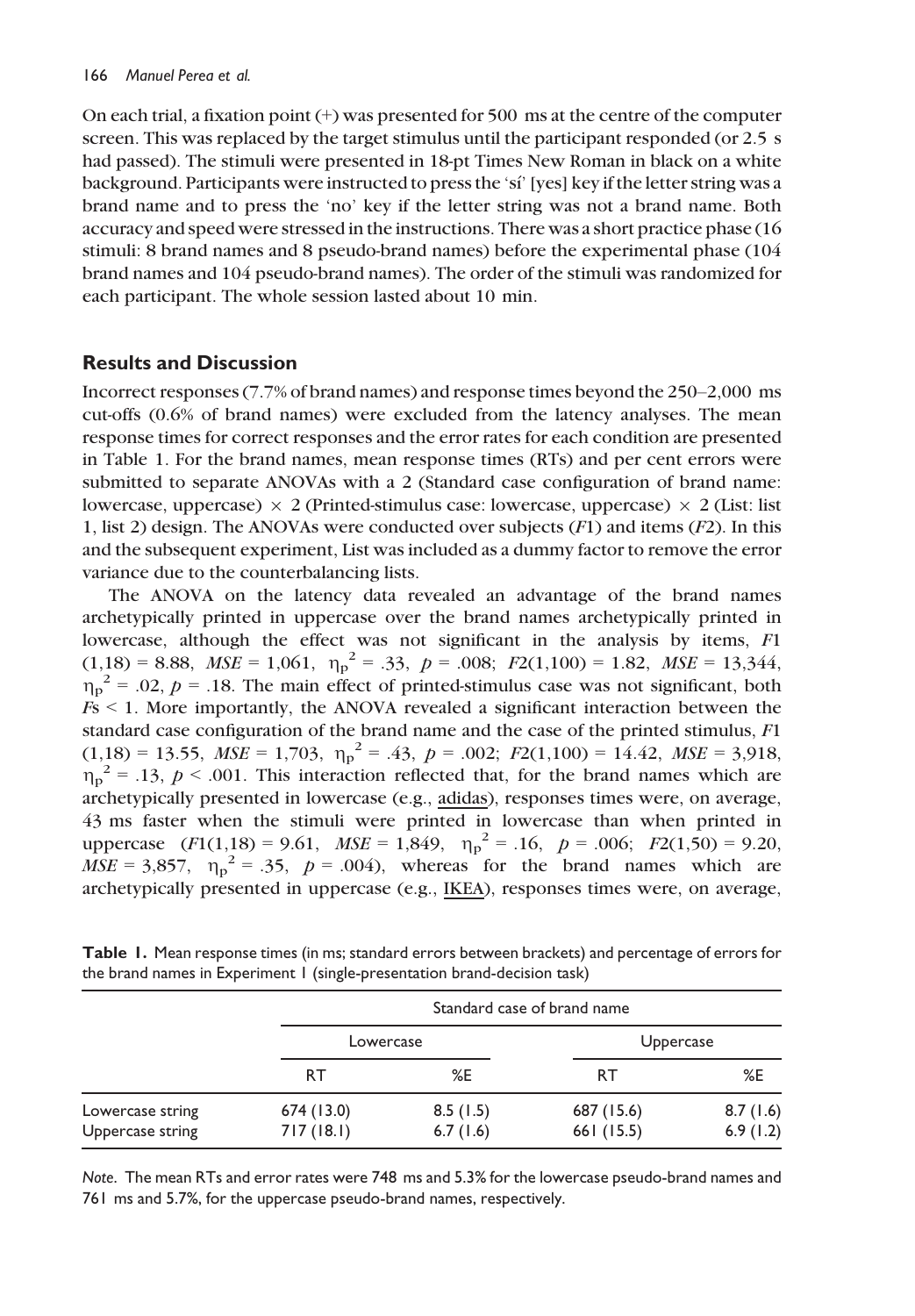On each trial, a fixation point (+) was presented for 500 ms at the centre of the computer screen. This was replaced by the target stimulus until the participant responded (or 2.5 s had passed). The stimuli were presented in 18-pt Times New Roman in black on a white background. Participants were instructed to press the 'sı' [yes] key if the letter string was a brand name and to press the 'no' key if the letter string was not a brand name. Both accuracy and speed were stressed in the instructions. There was a short practice phase (16 stimuli: 8 brand names and 8 pseudo-brand names) before the experimental phase (104 brand names and 104 pseudo-brand names). The order of the stimuli was randomized for each participant. The whole session lasted about 10 min.

#### Results and Discussion

Incorrect responses (7.7% of brand names) and response times beyond the 250–2,000 ms cut-offs (0.6% of brand names) were excluded from the latency analyses. The mean response times for correct responses and the error rates for each condition are presented in Table 1. For the brand names, mean response times (RTs) and per cent errors were submitted to separate ANOVAs with a 2 (Standard case configuration of brand name: lowercase, uppercase)  $\times$  2 (Printed-stimulus case: lowercase, uppercase)  $\times$  2 (List: list 1, list 2) design. The ANOVAs were conducted over subjects  $(F1)$  and items  $(F2)$ . In this and the subsequent experiment, List was included as a dummy factor to remove the error variance due to the counterbalancing lists.

The ANOVA on the latency data revealed an advantage of the brand names archetypically printed in uppercase over the brand names archetypically printed in lowercase, although the effect was not significant in the analysis by items, F1  $(1,18) = 8.88$ ,  $MSE = 1,061$ ,  $\eta_p^2 = .33$ ,  $p = .008$ ;  $F2(1,100) = 1.82$ ,  $MSE = 13,344$ ,  $\eta_s^2 = .02$ ,  $p = 18$ . The main effect of printed-stimulus case was not significant, both  $r_{\text{lp}} = 0.02$ ,  $p = 0.18$ . The main enect of princed-summus case was not significant, both  $Fs < 1$ . More importantly, the ANOVA revealed a significant interaction between the  $\eta_p^2$  = .02, p = .18. The main effect of printed-stimulus case was not significant, both standard case configuration of the brand name and the case of the printed stimulus,  $F1$  $(1,18) = 13.55$ ,  $MSE = 1,703$ ,  $\eta_p^2 = .43$ ,  $p = .002$ ;  $F2(1,100) = 14.42$ ,  $MSE = 3,918$ ,  $n^2 = 13$ ,  $p < .001$ . This interaction reflected that, for the brand names which are  $\eta_{\rm p}$  = .15, *p* < .001. This interaction reflected that, for the brand names which are<br>archetypically presented in lowercase (e.g., <u>adidas</u>), responses times were, on average,  $\eta_p^2 = 0.13$ ,  $p < 0.001$ . This interaction reflected that, for the brand names which are 43 ms faster when the stimuli were printed in lowercase than when printed in uppercase  $(F1(1,18) = 9.61, MSE = 1,849, \eta_p^2 = .16, p = .006; F2(1,50) = 9.20, \angle MSE = 3.857, n^2 = .35, p = .004$  whereas for the brand names which are  $\overline{MSE} = 3.857$ ,  $\eta_p^2 = .35$ ,  $p = .004$ ), whereas for the brand names which are archetypically presented in uppercase (e.g. IKEA) responses times were on average archetypically presented in uppercase (e.g., IKEA), responses times were, on average,

Table 1. Mean response times (in ms; standard errors between brackets) and percentage of errors for the brand names in Experiment 1 (single-presentation brand-decision task)

|                                      |                         | Standard case of brand name |                          |                      |  |
|--------------------------------------|-------------------------|-----------------------------|--------------------------|----------------------|--|
|                                      | Lowercase               |                             | <b>Uppercase</b>         |                      |  |
|                                      | RT                      | %E                          | RТ                       | %E                   |  |
| Lowercase string<br>Uppercase string | 674 (13.0)<br>717(18.1) | 8.5(1.5)<br>6.7(1.6)        | 687 (15.6)<br>661 (15.5) | 8.7(1.6)<br>6.9(1.2) |  |

Note. The mean RTs and error rates were 748 ms and 5.3% for the lowercase pseudo-brand names and 761 ms and 5.7%, for the uppercase pseudo-brand names, respectively.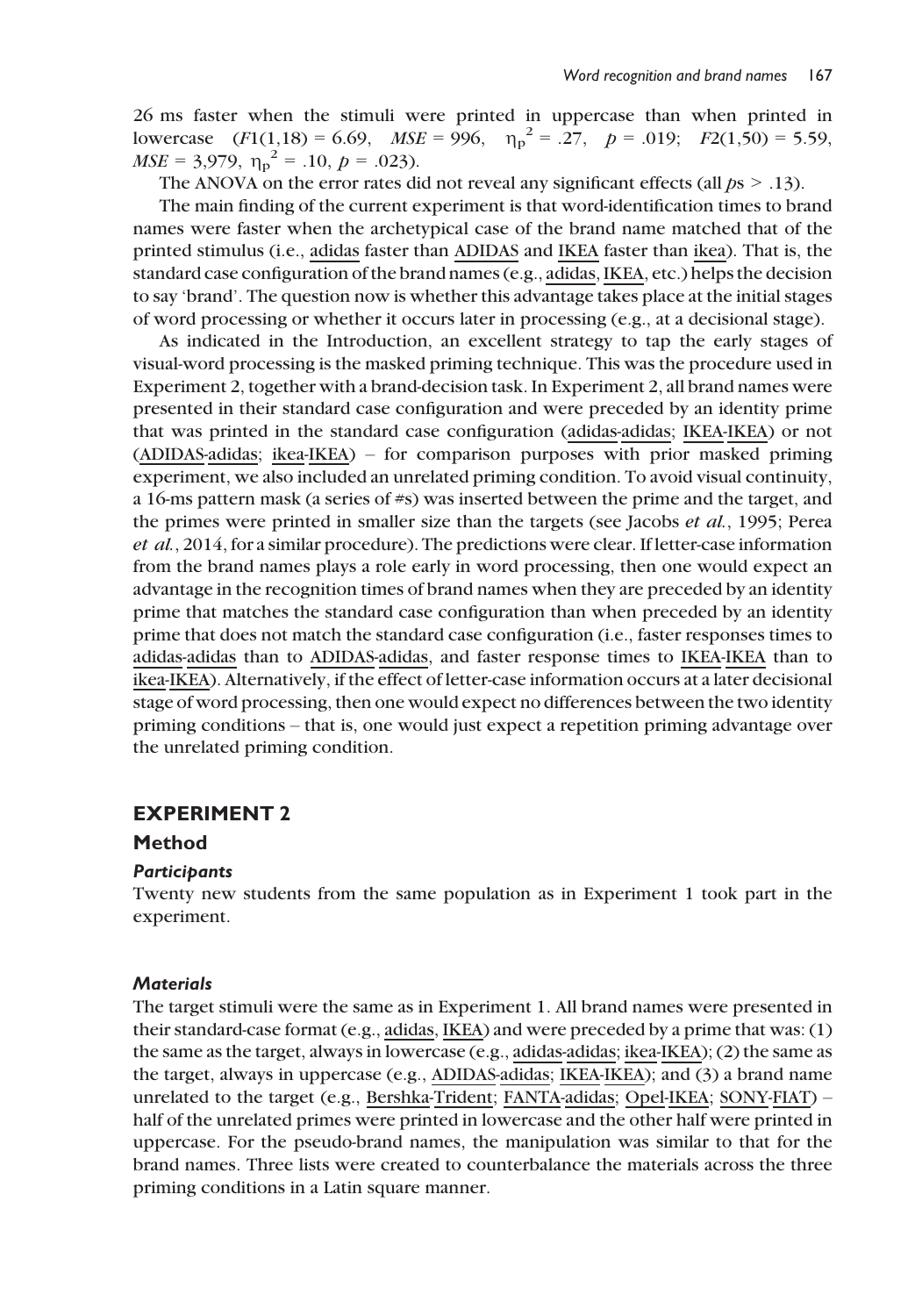26 ms faster when the stimuli were printed in uppercase than when printed in lowercase  $(F1(1,18) = 6.69, MSE = 996, \eta_p^2 = .27, p = .019; F2(1,50) = 5.59, \overline{MSE} = 3.979, p^2 = .10, p = .023$  $MSE = 3,979$ ,  $\eta_p^2 = .10$ ,  $p = .023$ ).<br>The ANOVA on the error rates di

The ANOVA on the error rates did not reveal any significant effects (all  $ps > .13$ ).

The main finding of the current experiment is that word-identification times to brand names were faster when the archetypical case of the brand name matched that of the printed stimulus (i.e., adidas faster than ADIDAS and IKEA faster than ikea). That is, the standard case configuration of the brand names (e.g., adidas,IKEA, etc.) helps the decision to say 'brand'. The question now is whether this advantage takes place at the initial stages of word processing or whether it occurs later in processing (e.g., at a decisional stage).

As indicated in the Introduction, an excellent strategy to tap the early stages of visual-word processing is the masked priming technique. This was the procedure used in Experiment 2, together with a brand-decision task. In Experiment 2, all brand names were presented in their standard case configuration and were preceded by an identity prime that was printed in the standard case configuration (adidas-adidas; IKEA-IKEA) or not (ADIDAS-adidas; ikea-IKEA) – for comparison purposes with prior masked priming experiment, we also included an unrelated priming condition. To avoid visual continuity, a 16-ms pattern mask (a series of #s) was inserted between the prime and the target, and the primes were printed in smaller size than the targets (see Jacobs *et al.*, 1995; Perea et al., 2014, for a similar procedure). The predictions were clear. If letter-case information from the brand names plays a role early in word processing, then one would expect an advantage in the recognition times of brand names when they are preceded by an identity prime that matches the standard case configuration than when preceded by an identity prime that does not match the standard case configuration (i.e., faster responses times to adidas-adidas than to ADIDAS-adidas, and faster response times to IKEA-IKEA than to ikea-IKEA). Alternatively, if the effect of letter-case information occurs at a later decisional stage of word processing, then one would expect no differences between the two identity priming conditions – that is, one would just expect a repetition priming advantage over the unrelated priming condition.

## EXPERIMENT 2

#### Method

#### **Participants**

Twenty new students from the same population as in Experiment 1 took part in the experiment.

#### **Materials**

The target stimuli were the same as in Experiment 1. All brand names were presented in their standard-case format (e.g., adidas, IKEA) and were preceded by a prime that was: (1) the same as the target, always in lowercase (e.g., adidas-adidas; ikea-IKEA); (2) the same as the target, always in uppercase (e.g., ADIDAS-adidas; IKEA-IKEA); and (3) a brand name unrelated to the target (e.g., Bershka-Trident; FANTA-adidas; Opel-IKEA; SONY-FIAT) – half of the unrelated primes were printed in lowercase and the other half were printed in uppercase. For the pseudo-brand names, the manipulation was similar to that for the brand names. Three lists were created to counterbalance the materials across the three priming conditions in a Latin square manner.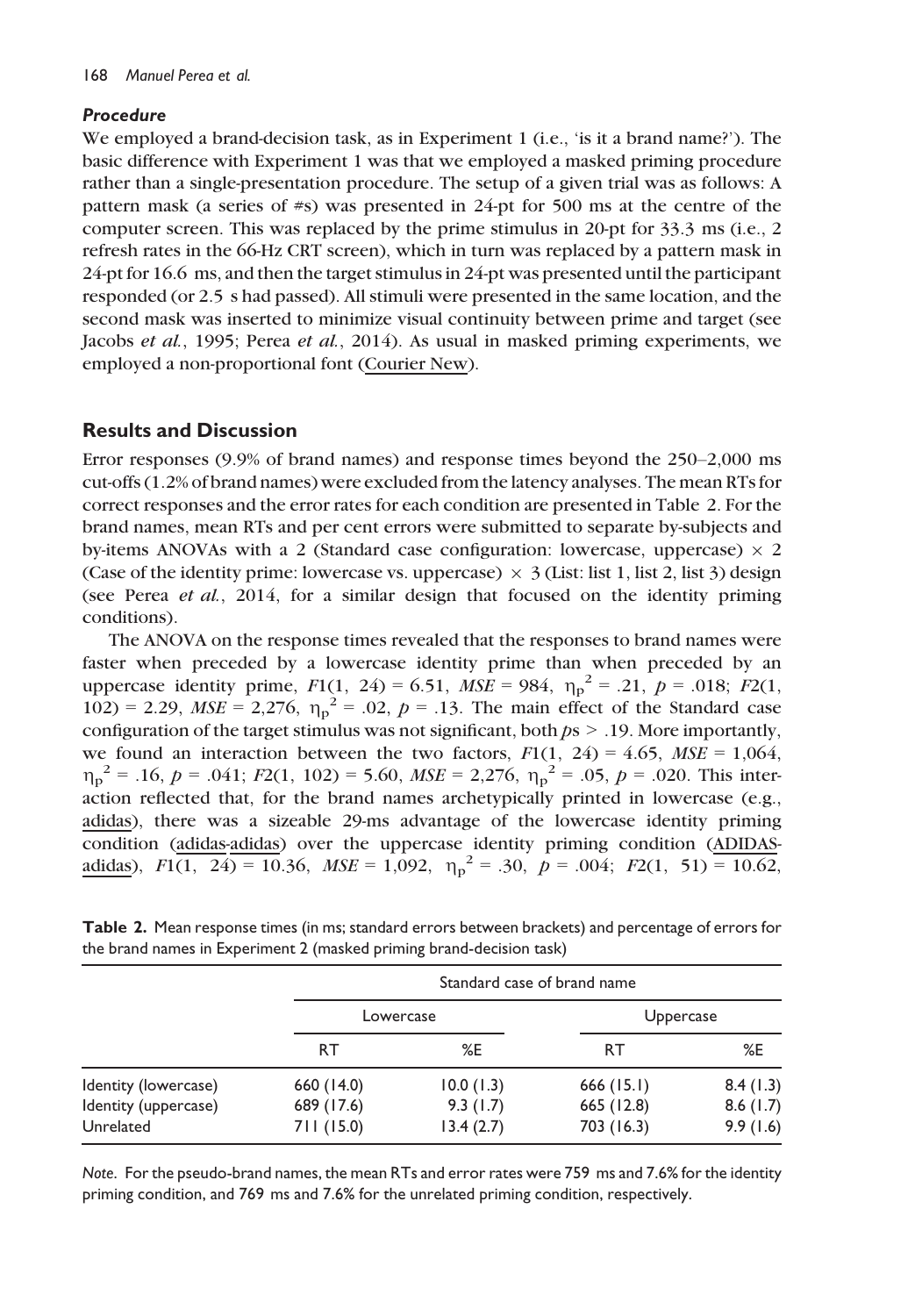#### Procedure

We employed a brand-decision task, as in Experiment 1 (i.e., 'is it a brand name?'). The basic difference with Experiment 1 was that we employed a masked priming procedure rather than a single-presentation procedure. The setup of a given trial was as follows: A pattern mask (a series of #s) was presented in 24-pt for 500 ms at the centre of the computer screen. This was replaced by the prime stimulus in 20-pt for 33.3 ms (i.e., 2 refresh rates in the 66-Hz CRT screen), which in turn was replaced by a pattern mask in 24-pt for 16.6 ms, and then the target stimulus in 24-pt was presented until the participant responded (or 2.5 s had passed). All stimuli were presented in the same location, and the second mask was inserted to minimize visual continuity between prime and target (see Jacobs et al., 1995; Perea et al., 2014). As usual in masked priming experiments, we employed a non-proportional font (Courier New).

## Results and Discussion

Error responses (9.9% of brand names) and response times beyond the 250–2,000 ms cut-offs (1.2% of brand names) were excluded from the latency analyses. The mean RTs for correct responses and the error rates for each condition are presented in Table 2. For the brand names, mean RTs and per cent errors were submitted to separate by-subjects and by-items ANOVAs with a 2 (Standard case configuration: lowercase, uppercase)  $\times$  2 (Case of the identity prime: lowercase vs. uppercase)  $\times$  3 (List: list 1, list 2, list 3) design (see Perea et al., 2014, for a similar design that focused on the identity priming conditions).

The ANOVA on the response times revealed that the responses to brand names were faster when preceded by a lowercase identity prime than when preceded by an uppercase identity prime,  $F1(1, 24) = 6.51$ ,  $MSE = 984$ ,  $\eta_p^2 = .21$ ,  $p = .018$ ;  $F2(1, 102) = 2.29$   $MSE = 2.276$ ,  $p^2 = .02$ ,  $p = .13$ . The main effect of the Standard case  $102$ ) = 2.29,  $MSE = 2,276$ ,  $\eta_p^2 = .02$ ,  $p = .13$ . The main effect of the Standard case configuration of the target stimulus was not significant, both  $ps > .19$ . More importantly, we found an interaction between the two factors,  $F1(1, 24) = 4.65$ ,  $MSE = 1,064$ ,  $\eta_{\rm p} = .10, p = .041; F2(1, 102) = 5.00, MSE = 2,2/0, \eta_{\rm p} = .05, p = .020.$  This interaction reflected that, for the brand names archetypically printed in lowercase (e.g., <sup>2</sup> = .16, p = .041; F2(1, 102) = 5.60, MSE = 2,276,  $\eta_p^2$  = .05, p = .020. This inter-<br>tion reflected that for the brand names archetypically printed in lowercase (e.g. adidas), there was a sizeable 29-ms advantage of the lowercase identity priming condition (adidas-adidas) over the uppercase identity priming condition (ADIDASadidas),  $F1(1, 24) = 10.36$ ,  $MSE = 1,092$ ,  $\eta_p^2 = .30$ ,  $p = .004$ ;  $F2(1, 51) = 10.62$ ,

|                                   |                         | Standard case of brand name |                          |                      |  |
|-----------------------------------|-------------------------|-----------------------------|--------------------------|----------------------|--|
|                                   | Lowercase               |                             | Uppercase                |                      |  |
|                                   | RT                      | %E                          | RТ                       | %E                   |  |
| Identity (lowercase)              | 660 (14.0)              | 10.0(1.3)                   | 666(15.1)                | 8.4(1.3)             |  |
| Identity (uppercase)<br>Unrelated | 689 (17.6)<br>711(15.0) | 9.3(1.7)<br>13.4(2.7)       | 665 (12.8)<br>703 (16.3) | 8.6(1.7)<br>9.9(1.6) |  |

Table 2. Mean response times (in ms; standard errors between brackets) and percentage of errors for the brand names in Experiment 2 (masked priming brand-decision task)

Note. For the pseudo-brand names, the mean RTs and error rates were 759 ms and 7.6% for the identity priming condition, and 769 ms and 7.6% for the unrelated priming condition, respectively.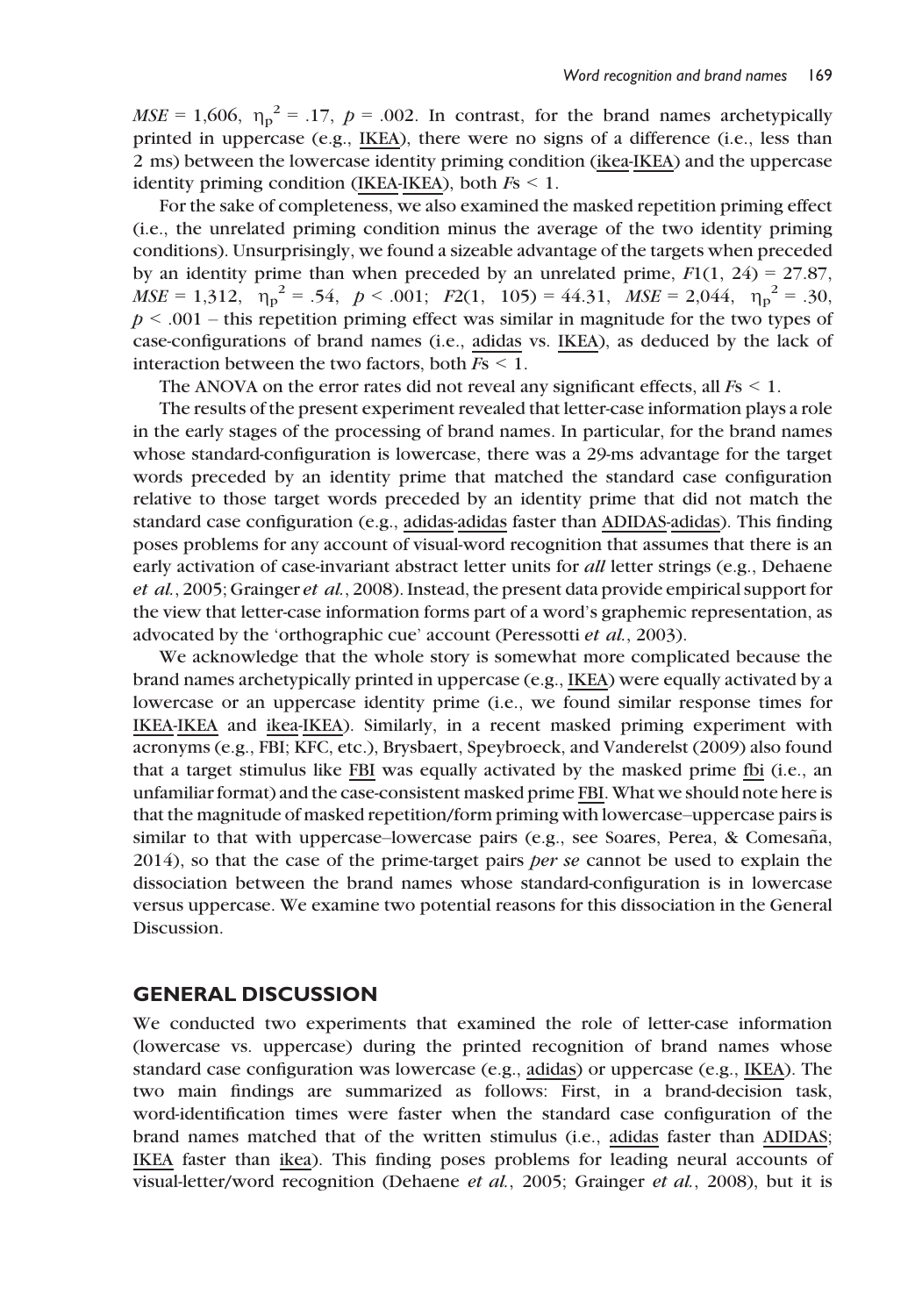$MSE = 1,606$ ,  $\eta_p^2 = .17$ ,  $p = .002$ . In contrast, for the brand names archetypically printed in uppercase (e.g. IKFA), there were no signs of a difference (i.e., less than printed in uppercase (e.g., IKEA), there were no signs of a difference (i.e., less than 2 ms) between the lowercase identity priming condition (ikea-IKEA) and the uppercase identity priming condition (IKEA-IKEA), both  $Fs \leq 1$ .

For the sake of completeness, we also examined the masked repetition priming effect (i.e., the unrelated priming condition minus the average of the two identity priming conditions). Unsurprisingly, we found a sizeable advantage of the targets when preceded by an identity prime than when preceded by an unrelated prime,  $F1(1, 24) = 27.87$ ,  $MSE = 1,312$ ,  $\eta_p^2 = .54$ ,  $p < .001$ ;  $F2(1, 105) = 44.31$ ,  $MSE = 2,044$ ,  $\eta_p^2 = .30$ ,  $p < .001$  – this repetition priming effect was similar in magnitude for the two types of  $p < .001$  – this repetition priming effect was similar in magnitude for the two types of case-configurations of brand names (i.e., adidas vs. IKEA), as deduced by the lack of interaction between the two factors, both  $Fs \leq 1$ .

The ANOVA on the error rates did not reveal any significant effects, all  $Fs \leq 1$ .

The results of the present experiment revealed that letter-case information plays a role in the early stages of the processing of brand names. In particular, for the brand names whose standard-configuration is lowercase, there was a 29-ms advantage for the target words preceded by an identity prime that matched the standard case configuration relative to those target words preceded by an identity prime that did not match the standard case configuration (e.g., adidas-adidas faster than ADIDAS-adidas). This finding poses problems for any account of visual-word recognition that assumes that there is an early activation of case-invariant abstract letter units for *all* letter strings (e.g., Dehaene et al., 2005; Grainger et al., 2008). Instead, the present data provide empirical support for the view that letter-case information forms part of a word's graphemic representation, as advocated by the 'orthographic cue' account (Peressotti et al., 2003).

We acknowledge that the whole story is somewhat more complicated because the brand names archetypically printed in uppercase (e.g., IKEA) were equally activated by a lowercase or an uppercase identity prime (i.e., we found similar response times for IKEA-IKEA and ikea-IKEA). Similarly, in a recent masked priming experiment with acronyms (e.g., FBI; KFC, etc.), Brysbaert, Speybroeck, and Vanderelst (2009) also found that a target stimulus like FBI was equally activated by the masked prime fbi (i.e., an unfamiliar format) and the case-consistent masked prime FBI. What we should note here is that the magnitude of masked repetition/form priming with lowercase–uppercase pairs is similar to that with uppercase–lowercase pairs (e.g., see Soares, Perea, & Comesaña, 2014), so that the case of the prime-target pairs per se cannot be used to explain the dissociation between the brand names whose standard-configuration is in lowercase versus uppercase. We examine two potential reasons for this dissociation in the General Discussion.

## GENERAL DISCUSSION

We conducted two experiments that examined the role of letter-case information (lowercase vs. uppercase) during the printed recognition of brand names whose standard case configuration was lowercase (e.g., adidas) or uppercase (e.g., IKEA). The two main findings are summarized as follows: First, in a brand-decision task, word-identification times were faster when the standard case configuration of the brand names matched that of the written stimulus (i.e., adidas faster than ADIDAS; IKEA faster than ikea). This finding poses problems for leading neural accounts of visual-letter/word recognition (Dehaene et al., 2005; Grainger et al., 2008), but it is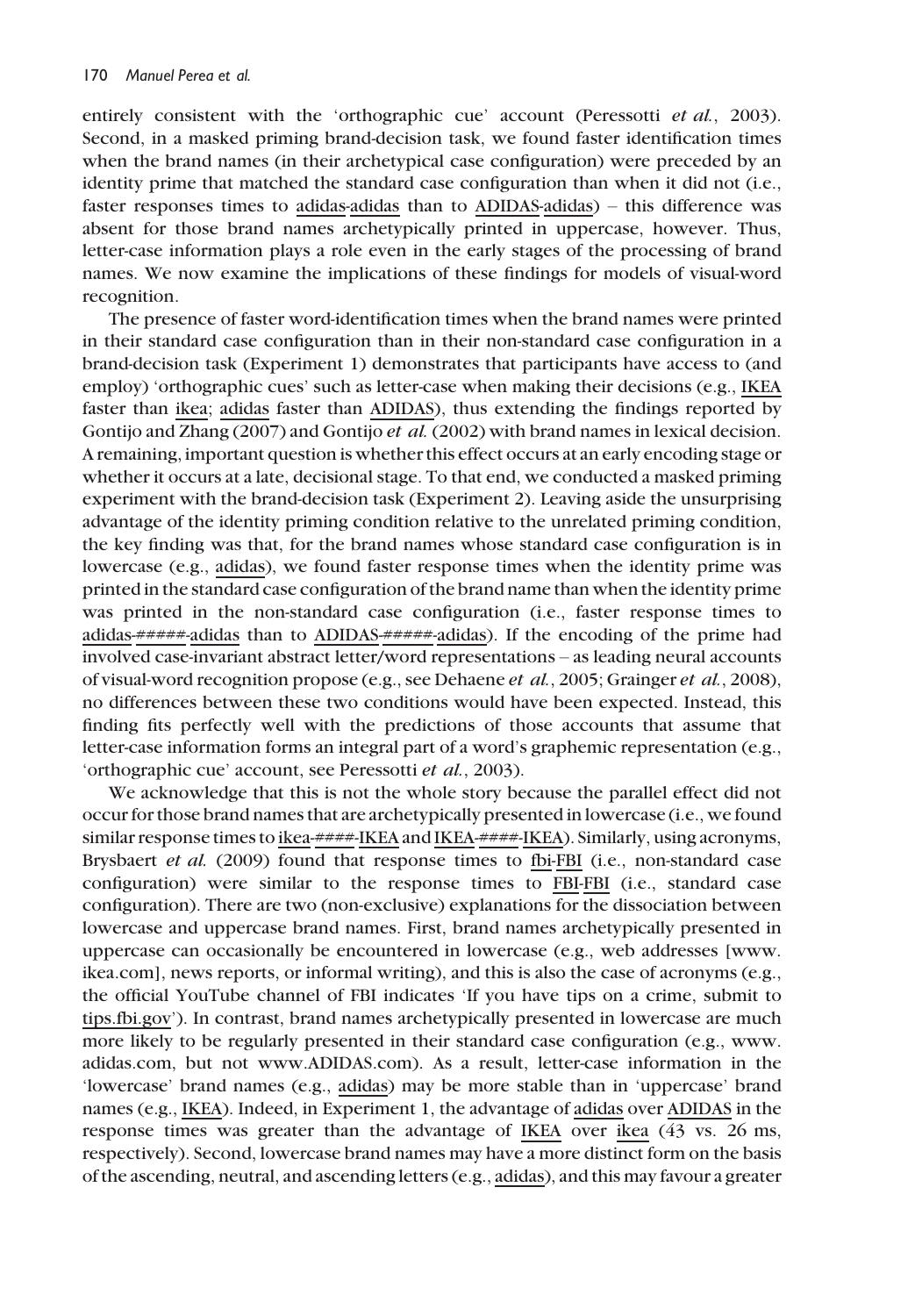entirely consistent with the 'orthographic cue' account (Peressotti et al., 2003). Second, in a masked priming brand-decision task, we found faster identification times when the brand names (in their archetypical case configuration) were preceded by an identity prime that matched the standard case configuration than when it did not (i.e., faster responses times to adidas-adidas than to ADIDAS-adidas) – this difference was absent for those brand names archetypically printed in uppercase, however. Thus, letter-case information plays a role even in the early stages of the processing of brand names. We now examine the implications of these findings for models of visual-word recognition.

The presence of faster word-identification times when the brand names were printed in their standard case configuration than in their non-standard case configuration in a brand-decision task (Experiment 1) demonstrates that participants have access to (and employ) 'orthographic cues' such as letter-case when making their decisions (e.g., IKEA faster than ikea; adidas faster than ADIDAS), thus extending the findings reported by Gontijo and Zhang (2007) and Gontijo et al. (2002) with brand names in lexical decision. A remaining, important question is whether this effect occurs at an early encoding stage or whether it occurs at a late, decisional stage. To that end, we conducted a masked priming experiment with the brand-decision task (Experiment 2). Leaving aside the unsurprising advantage of the identity priming condition relative to the unrelated priming condition, the key finding was that, for the brand names whose standard case configuration is in lowercase (e.g., adidas), we found faster response times when the identity prime was printed in the standard case configuration of the brand name than when the identity prime was printed in the non-standard case configuration (i.e., faster response times to adidas-#####-adidas than to ADIDAS-#####-adidas). If the encoding of the prime had involved case-invariant abstract letter/word representations – as leading neural accounts of visual-word recognition propose (e.g., see Dehaene et al., 2005; Grainger et al., 2008), no differences between these two conditions would have been expected. Instead, this finding fits perfectly well with the predictions of those accounts that assume that letter-case information forms an integral part of a word's graphemic representation (e.g., 'orthographic cue' account, see Peressotti et al., 2003).

We acknowledge that this is not the whole story because the parallel effect did not occur for those brand names that are archetypically presented in lowercase (i.e., we found similar response times to ikea-####-IKEA and IKEA-####-IKEA). Similarly, using acronyms, Brysbaert et al. (2009) found that response times to fbi-FBI (i.e., non-standard case configuration) were similar to the response times to FBI-FBI (i.e., standard case configuration). There are two (non-exclusive) explanations for the dissociation between lowercase and uppercase brand names. First, brand names archetypically presented in uppercase can occasionally be encountered in lowercase (e.g., web addresses [www. ikea.com], news reports, or informal writing), and this is also the case of acronyms (e.g., the official YouTube channel of FBI indicates 'If you have tips on a crime, submit to tips.fbi.gov'). In contrast, brand names archetypically presented in lowercase are much more likely to be regularly presented in their standard case configuration (e.g., www. adidas.com, but not www.ADIDAS.com). As a result, letter-case information in the 'lowercase' brand names (e.g., adidas) may be more stable than in 'uppercase' brand names (e.g., IKEA). Indeed, in Experiment 1, the advantage of adidas over ADIDAS in the response times was greater than the advantage of IKEA over ikea (43 vs. 26 ms, respectively). Second, lowercase brand names may have a more distinct form on the basis of the ascending, neutral, and ascending letters (e.g., adidas), and this may favour a greater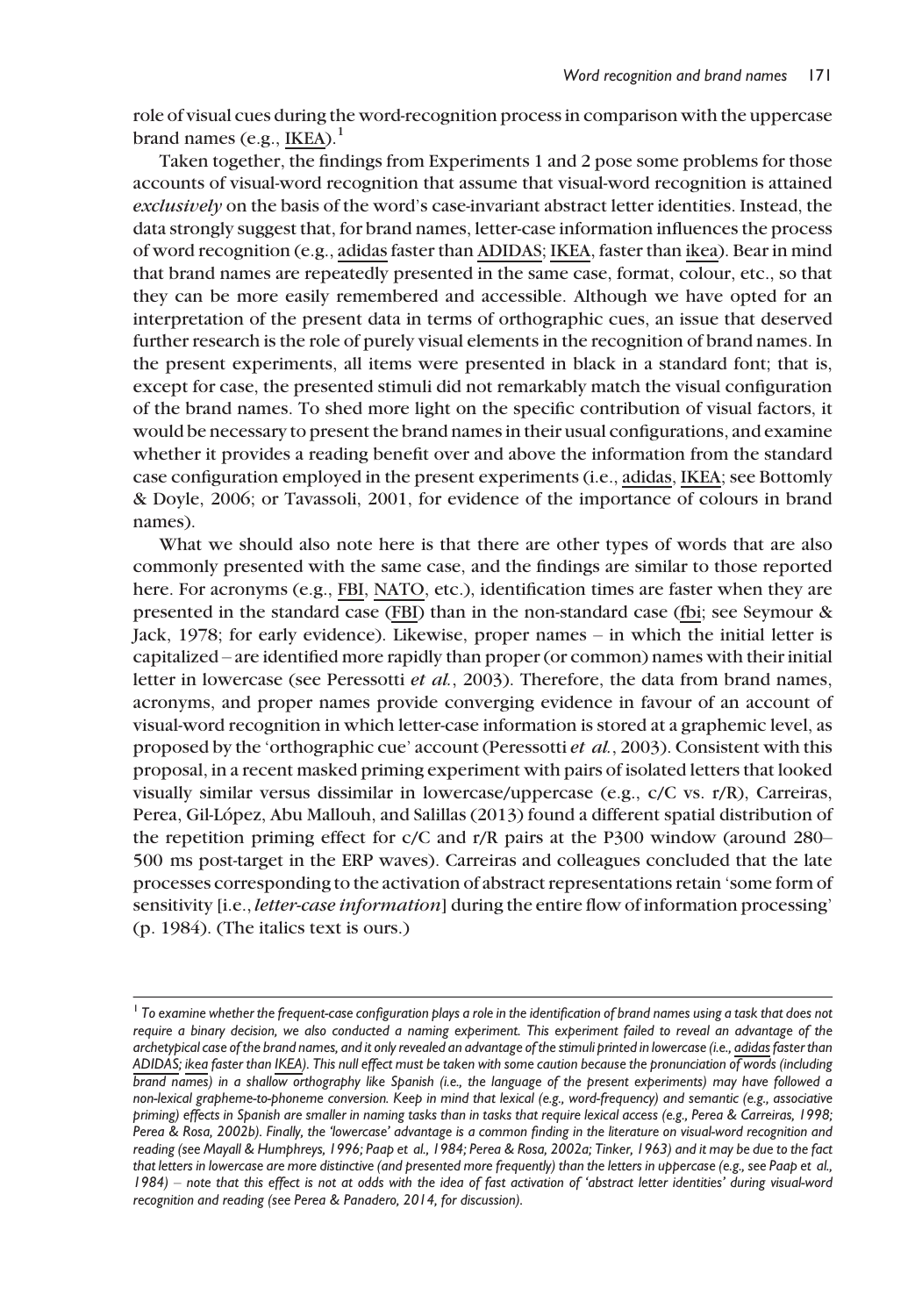role of visual cues during the word-recognition process in comparison with the uppercase brand names (e.g., IKEA). $<sup>1</sup>$ </sup>

Taken together, the findings from Experiments 1 and 2 pose some problems for those accounts of visual-word recognition that assume that visual-word recognition is attained exclusively on the basis of the word's case-invariant abstract letter identities. Instead, the data strongly suggest that, for brand names, letter-case information influences the process of word recognition (e.g., adidas faster than ADIDAS; IKEA, faster than ikea). Bear in mind that brand names are repeatedly presented in the same case, format, colour, etc., so that they can be more easily remembered and accessible. Although we have opted for an interpretation of the present data in terms of orthographic cues, an issue that deserved further research is the role of purely visual elements in the recognition of brand names. In the present experiments, all items were presented in black in a standard font; that is, except for case, the presented stimuli did not remarkably match the visual configuration of the brand names. To shed more light on the specific contribution of visual factors, it would be necessary to present the brand names in their usual configurations, and examine whether it provides a reading benefit over and above the information from the standard case configuration employed in the present experiments (i.e., adidas, IKEA; see Bottomly & Doyle, 2006; or Tavassoli, 2001, for evidence of the importance of colours in brand names).

What we should also note here is that there are other types of words that are also commonly presented with the same case, and the findings are similar to those reported here. For acronyms (e.g., FBI, NATO, etc.), identification times are faster when they are presented in the standard case (FBI) than in the non-standard case (fbi; see Seymour & Jack, 1978; for early evidence). Likewise, proper names – in which the initial letter is capitalized – are identified more rapidly than proper (or common) names with their initial letter in lowercase (see Peressotti et al., 2003). Therefore, the data from brand names, acronyms, and proper names provide converging evidence in favour of an account of visual-word recognition in which letter-case information is stored at a graphemic level, as proposed by the 'orthographic cue' account (Peressotti et al., 2003). Consistent with this proposal, in a recent masked priming experiment with pairs of isolated letters that looked visually similar versus dissimilar in lowercase/uppercase (e.g., c/C vs. r/R), Carreiras, Perea, Gil-Lopez, Abu Mallouh, and Salillas (2013) found a different spatial distribution of the repetition priming effect for c/C and r/R pairs at the P300 window (around 280– 500 ms post-target in the ERP waves). Carreiras and colleagues concluded that the late processes corresponding to the activation of abstract representations retain 'some form of sensitivity [i.e., *letter-case information*] during the entire flow of information processing' (p. 1984). (The italics text is ours.)

 $1$  To examine whether the frequent-case configuration plays a role in the identification of brand names using a task that does not require a binary decision, we also conducted a naming experiment. This experiment failed to reveal an advantage of the archetypical case of the brand names, and it only revealed an advantage of the stimuli printed in lowercase (i.e., adidas faster than ADIDAS; ikea faster than IKEA). This null effect must be taken with some caution because the pronunciation of words (including brand names) in a shallow orthography like Spanish (i.e., the language of the present experiments) may have followed a non-lexical grapheme-to-phoneme conversion. Keep in mind that lexical (e.g., word-frequency) and semantic (e.g., associative priming) effects in Spanish are smaller in naming tasks than in tasks that require lexical access (e.g., Perea & Carreiras, 1998; Perea & Rosa, 2002b). Finally, the 'lowercase' advantage is a common finding in the literature on visual-word recognition and reading (see Mayall & Humphreys, 1996; Paap et al., 1984; Perea & Rosa, 2002a; Tinker, 1963) and it may be due to the fact that letters in lowercase are more distinctive (and presented more frequently) than the letters in uppercase (e.g., see Paap et al., 1984) – note that this effect is not at odds with the idea of fast activation of 'abstract letter identities' during visual-word recognition and reading (see Perea & Panadero, 2014, for discussion).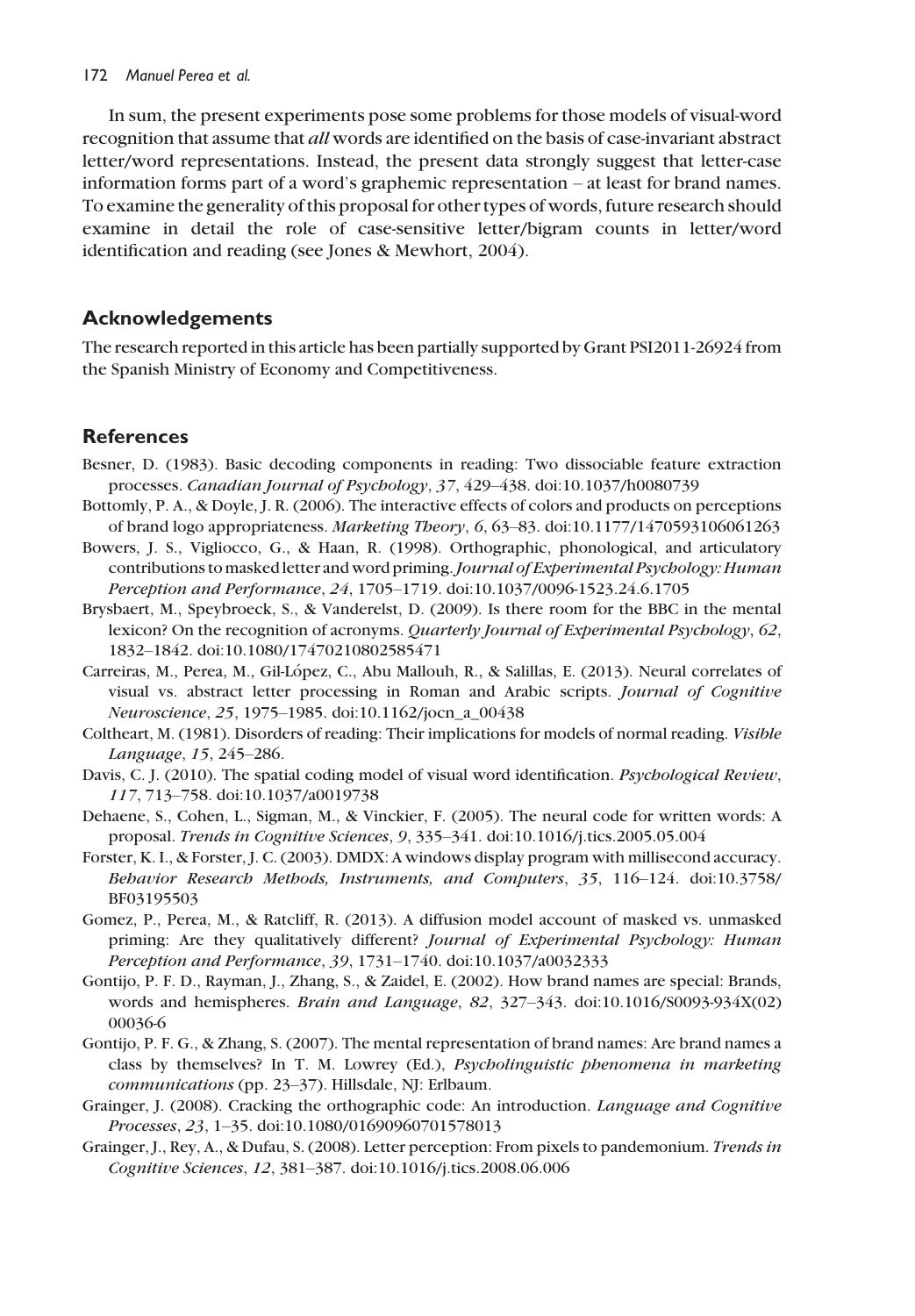In sum, the present experiments pose some problems for those models of visual-word recognition that assume that all words are identified on the basis of case-invariant abstract letter/word representations. Instead, the present data strongly suggest that letter-case information forms part of a word's graphemic representation – at least for brand names. To examine the generality of this proposal for other types of words, future research should examine in detail the role of case-sensitive letter/bigram counts in letter/word identification and reading (see Jones & Mewhort, 2004).

## Acknowledgements

The research reported in this article has been partially supported by Grant PSI2011-26924 from the Spanish Ministry of Economy and Competitiveness.

## **References**

- Besner, D. (1983). Basic decoding components in reading: Two dissociable feature extraction processes. Canadian Journal of Psychology, 37, 429–438. doi:10.1037/h0080739
- Bottomly, P. A., & Doyle, J. R. (2006). The interactive effects of colors and products on perceptions of brand logo appropriateness. Marketing Theory, 6, 63–83. doi:10.1177/1470593106061263
- Bowers, J. S., Vigliocco, G., & Haan, R. (1998). Orthographic, phonological, and articulatory contributions to masked letter and word priming.Journal of Experimental Psychology: Human Perception and Performance, 24, 1705–1719. doi:10.1037/0096-1523.24.6.1705
- Brysbaert, M., Speybroeck, S., & Vanderelst, D. (2009). Is there room for the BBC in the mental lexicon? On the recognition of acronyms. Quarterly Journal of Experimental Psychology, 62, 1832–1842. doi:10.1080/17470210802585471
- Carreiras, M., Perea, M., Gil-Lopez, C., Abu Mallouh, R., & Salillas, E. (2013). Neural correlates of visual vs. abstract letter processing in Roman and Arabic scripts. Journal of Cognitive Neuroscience, 25, 1975–1985. doi:10.1162/jocn\_a\_00438
- Coltheart, M. (1981). Disorders of reading: Their implications for models of normal reading. Visible Language, 15, 245–286.
- Davis, C. J. (2010). The spatial coding model of visual word identification. *Psychological Review*, 117, 713–758. doi:10.1037/a0019738
- Dehaene, S., Cohen, L., Sigman, M., & Vinckier, F. (2005). The neural code for written words: A proposal. Trends in Cognitive Sciences, 9, 335–341. doi:10.1016/j.tics.2005.05.004
- Forster, K. I., & Forster, J. C. (2003). DMDX: A windows display program with millisecond accuracy. Behavior Research Methods, Instruments, and Computers, 35, 116–124. doi:10.3758/ BF03195503
- Gomez, P., Perea, M., & Ratcliff, R. (2013). A diffusion model account of masked vs. unmasked priming: Are they qualitatively different? Journal of Experimental Psychology: Human Perception and Performance, 39, 1731–1740. doi:10.1037/a0032333
- Gontijo, P. F. D., Rayman, J., Zhang, S., & Zaidel, E. (2002). How brand names are special: Brands, words and hemispheres. Brain and Language, 82, 327–343. doi:10.1016/S0093-934X(02) 00036-6
- Gontijo, P. F. G., & Zhang, S. (2007). The mental representation of brand names: Are brand names a class by themselves? In T. M. Lowrey (Ed.), Psycholinguistic phenomena in marketing communications (pp. 23–37). Hillsdale, NJ: Erlbaum.
- Grainger, J. (2008). Cracking the orthographic code: An introduction. Language and Cognitive Processes, 23, 1–35. doi:10.1080/01690960701578013
- Grainger, J., Rey, A., & Dufau, S. (2008). Letter perception: From pixels to pandemonium. Trends in Cognitive Sciences, 12, 381–387. doi:10.1016/j.tics.2008.06.006